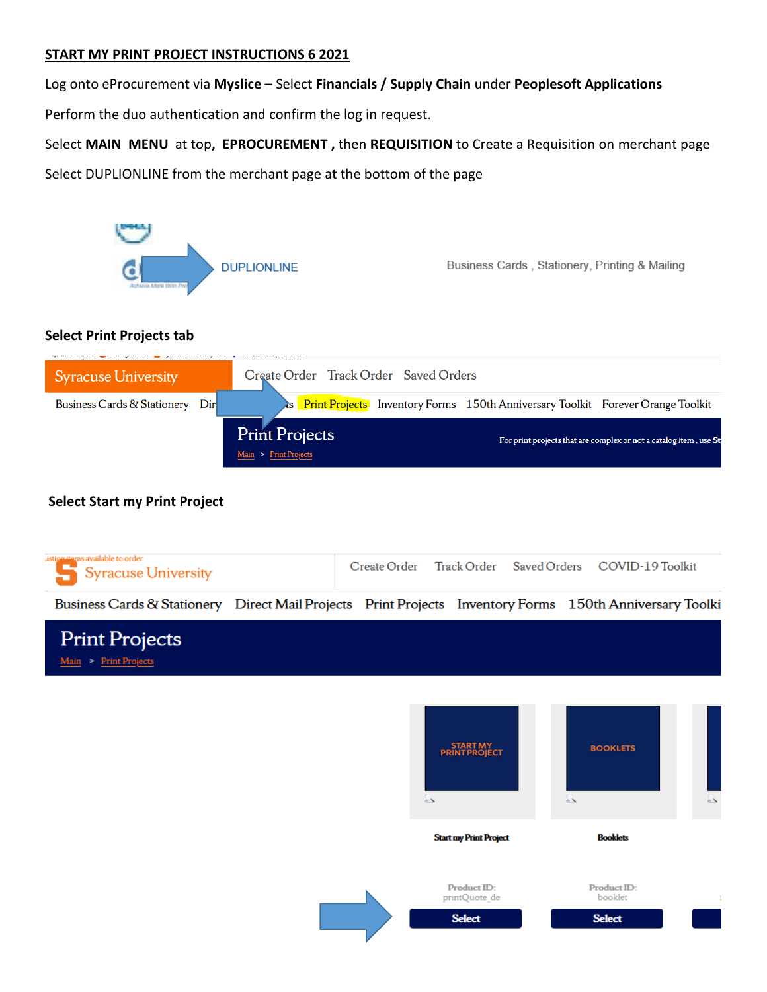# **START MY PRINT PROJECT INSTRUCTIONS 6 2021**

Log onto eProcurement via **Myslice –** Select **Financials / Supply Chain** under **Peoplesoft Applications**

Perform the duo authentication and confirm the log in request.

Select **MAIN MENU** at top**, EPROCUREMENT ,** then **REQUISITION** to Create a Requisition on merchant page

Select DUPLIONLINE from the merchant page at the bottom of the page



# **Select Print Projects tab**



# **Select Start my Print Project**

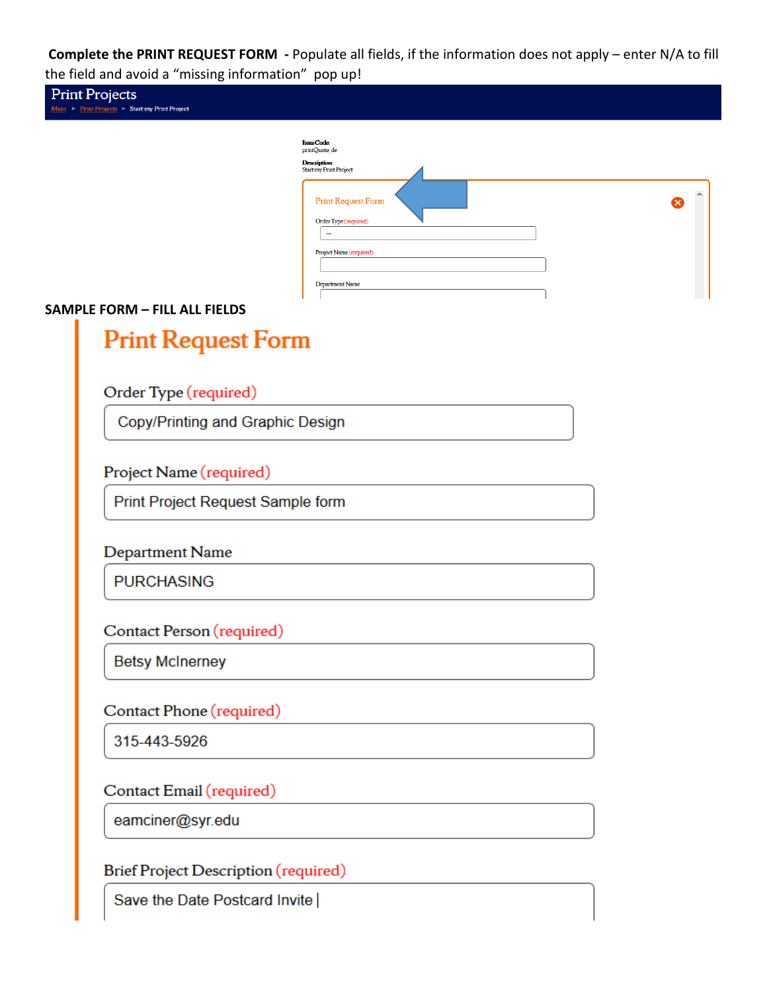**Complete the PRINT REQUEST FORM -** Populate all fields, if the information does not apply – enter N/A to fill the field and avoid a "missing information" pop up!

|                                      | <b>Item Code:</b><br>printQuote_de                                                                                                  |  |
|--------------------------------------|-------------------------------------------------------------------------------------------------------------------------------------|--|
|                                      | <b>Description:</b><br><b>Start my Print Project</b>                                                                                |  |
|                                      | <b>Print Request Form</b><br>Order Type (required)<br>$\overline{\phantom{a}}$<br>Project Name (required)<br><b>Department Name</b> |  |
| <b>SAMPLE FORM - FILL ALL FIELDS</b> |                                                                                                                                     |  |
| <b>Print Request Form</b>            |                                                                                                                                     |  |
|                                      |                                                                                                                                     |  |
| Order Type (required)                |                                                                                                                                     |  |
| Copy/Printing and Graphic Design     |                                                                                                                                     |  |
|                                      |                                                                                                                                     |  |
| Project Name (required)              |                                                                                                                                     |  |
| Print Project Request Sample form    |                                                                                                                                     |  |
| Department Name                      |                                                                                                                                     |  |
| <b>PURCHASING</b>                    |                                                                                                                                     |  |
|                                      |                                                                                                                                     |  |
| Contact Person (required)            |                                                                                                                                     |  |
| <b>Betsy McInerney</b>               |                                                                                                                                     |  |
| Contact Phone (required)             |                                                                                                                                     |  |
| 315-443-5926                         |                                                                                                                                     |  |
|                                      |                                                                                                                                     |  |
| Contact Email (required)             |                                                                                                                                     |  |
| eamciner@syr.edu                     |                                                                                                                                     |  |
|                                      |                                                                                                                                     |  |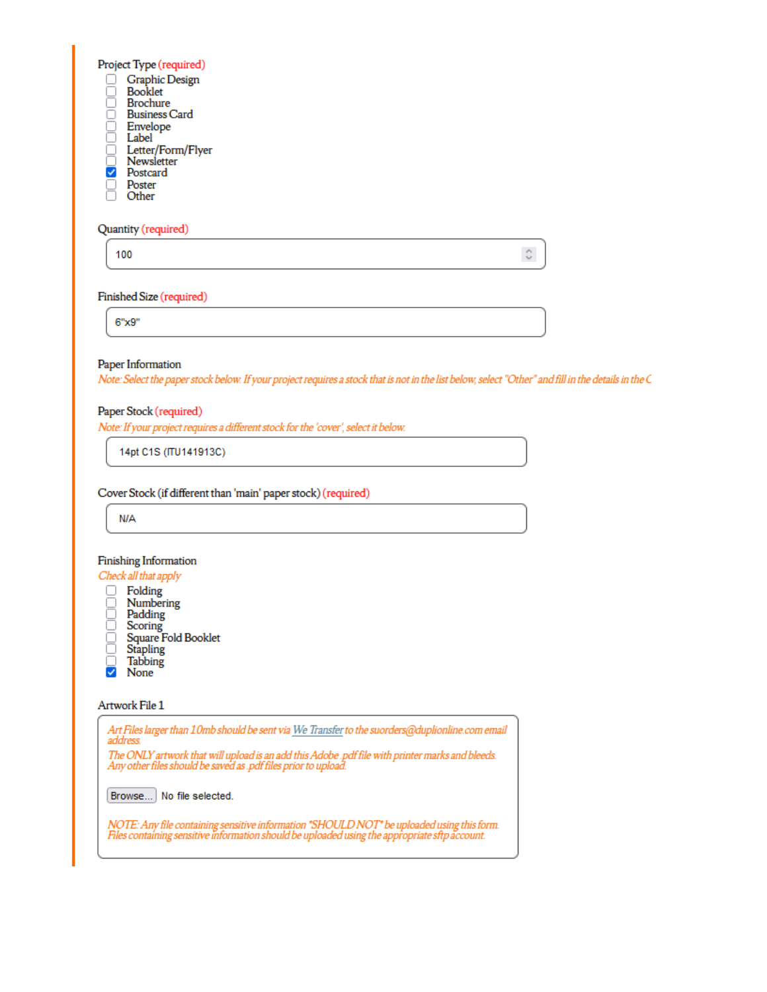Project Type (required)

- **Graphic Design**
- 8<br>8 Booklet **Brochure**
- ŏ **Business Card**
- Envelope Label
- o
- Letter/Form/Flyer<br>Newsletter
- Ø Postcard
- Poster Other
- 

# Quantity (required)

100

### Finished Size (required)

 $6"x9"$ 

# Paper Information

Note: Select the paper stock below. If your project requires a stock that is not in the list below, select "Other" and fill in the details in the C

 $\mathbb{C}$ 

### Paper Stock (required)

Note: If your project requires a different stock for the 'cover', select it below.

14pt C1S (ITU141913C)

### Cover Stock (if different than 'main' paper stock) (required)

**N/A** 

### Finishing Information



- 0. Folding Numbering Padding Scoring Square Fold Booklet 8 Stapling
- **Tabbing**
- ⊽ None

### Artwork File 1

Art Files larger than 10mb should be sent via We Transfer to the suorders@duplionline.com email address The ONLY artwork that will upload is an add this Adobe .pdf file with printer marks and bleeds.<br>Any other files should be saved as .pdf files prior to upload. Browse... No file selected. NOTE: Any file containing sensitive information "SHOULD NOT" be uploaded using this form.<br>Files containing sensitive information should be uploaded using the appropriate sftp account.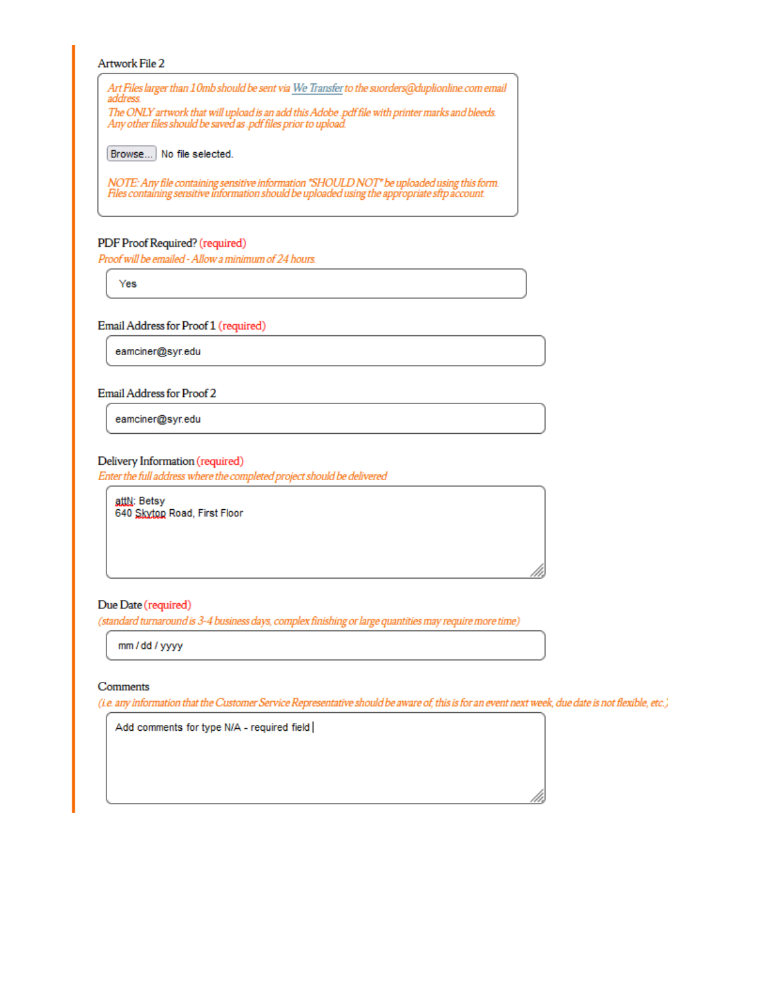#### Artwork File 2

Art Files larger than 10mb should be sent via We Transfer to the suorders@duplionline.com email address. The ONLY artwork that will upload is an add this Adobe .pdf file with printer marks and bleeds.

Any other files should be saved as .pdf files prior to upload.

Browse... No file selected.

NOTE: Any file containing sensitive information "SHOULD NOT" be uploaded using this form.<br>Files containing sensitive information should be uploaded using the appropriate sftp account.

#### PDF Proof Required? (required)

Proof will be emailed - Allow a minimum of 24 hours.

Yes

#### Email Address for Proof 1 (required)

eamciner@syr.edu

#### Email Address for Proof 2

eamciner@syr.edu

#### Delivery Information (required)

Enter the full address where the completed project should be delivered

attN: Betsy 640 Skyton Road, First Floor

#### Due Date (required)

(standard turnaround is 3-4 business days, complex finishing or large quantities may require more time)

mm / dd / yyyy

#### Comments

(i.e. any information that the Customer Service Representative should be aware of, this is for an event next week, due date is not flexible, etc.)

Add comments for type N/A - required field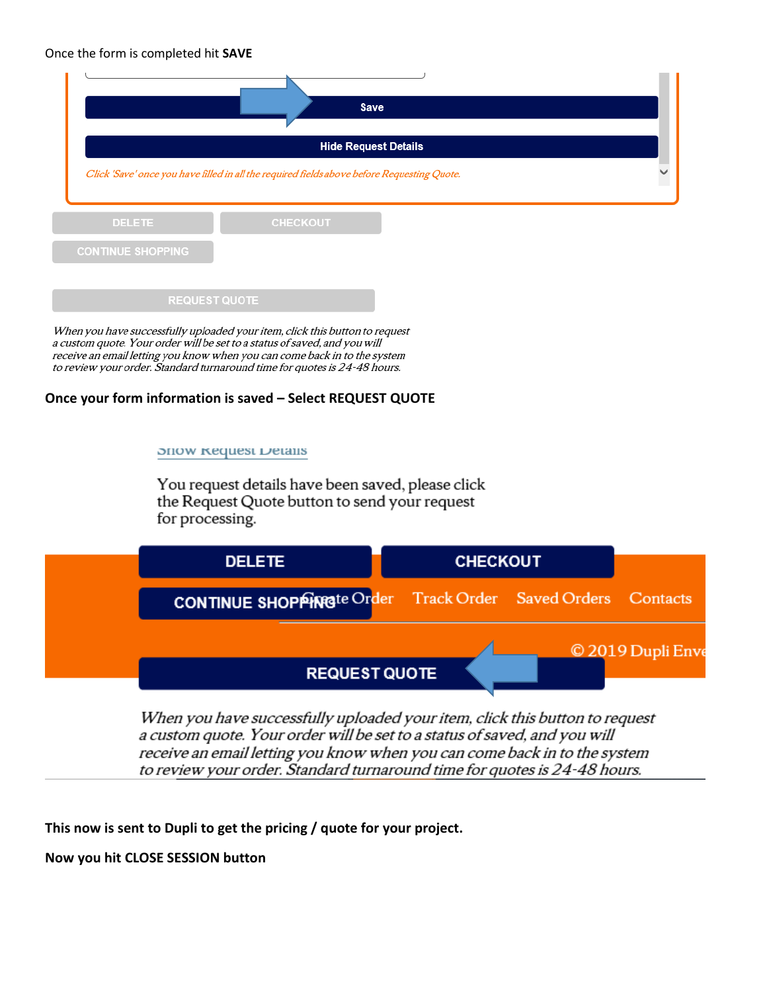### Once the form is completed hit **SAVE**



When you have successfully uploaded your item, click this button to request a custom quote. Your order will be set to a status of saved, and you will receive an email letting you know when you can come back in to the system to review your order. Standard turnaround time for quotes is 24-48 hours.

### **Once your form information is saved – Select REQUEST QUOTE**

#### **SHOW Request Details**

You request details have been saved, please click the Request Quote button to send your request for processing.



When you have successfully uploaded your item, click this button to request a custom quote. Your order will be set to a status of saved, and you will receive an email letting you know when you can come back in to the system to review your order. Standard turnaround time for quotes is 24-48 hours.

**This now is sent to Dupli to get the pricing / quote for your project.** 

**Now you hit CLOSE SESSION button**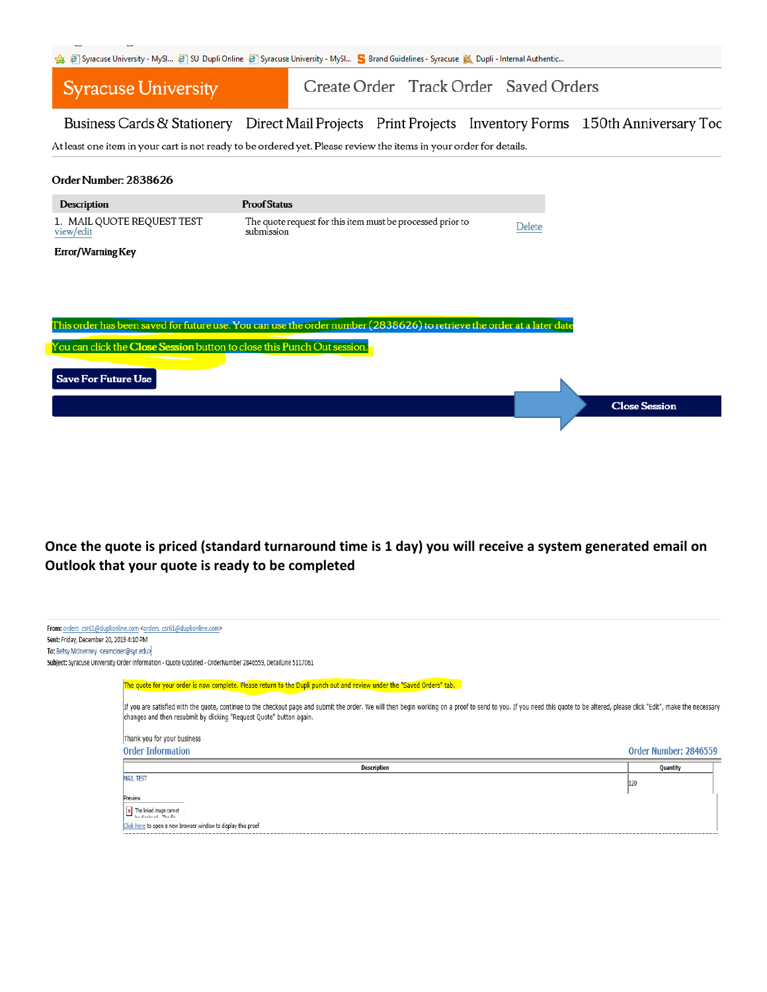|  |  |  |  |  |  |  |  |  |  |  |  |  |  |  | Sonacuse University - MySl 3 SU Dupli Online 3 Syracuse University - MySl S Brand Guidelines - Syracuse M Dupli - Internal Authentic |
|--|--|--|--|--|--|--|--|--|--|--|--|--|--|--|--------------------------------------------------------------------------------------------------------------------------------------|
|--|--|--|--|--|--|--|--|--|--|--|--|--|--|--|--------------------------------------------------------------------------------------------------------------------------------------|

#### Create Order Track Order Saved Orders **Syracuse University**

Business Cards & Stationery Direct Mail Projects Print Projects Inventory Forms 150th Anniversary Toc

At least one item in your cart is not ready to be ordered yet. Please review the items in your order for details.

#### Order Number: 2838626

| <b>Description</b>                      | <b>Proof Status</b>                                                      |        |
|-----------------------------------------|--------------------------------------------------------------------------|--------|
| 1. MAIL QUOTE REQUEST TEST<br>view/edit | The quote request for this item must be processed prior to<br>submission | Delete |
| Error/Warning Key                       |                                                                          |        |
|                                         |                                                                          |        |
|                                         |                                                                          |        |



# Once the quote is priced (standard turnaround time is 1 day) you will receive a system generated email on Outlook that your quote is ready to be completed

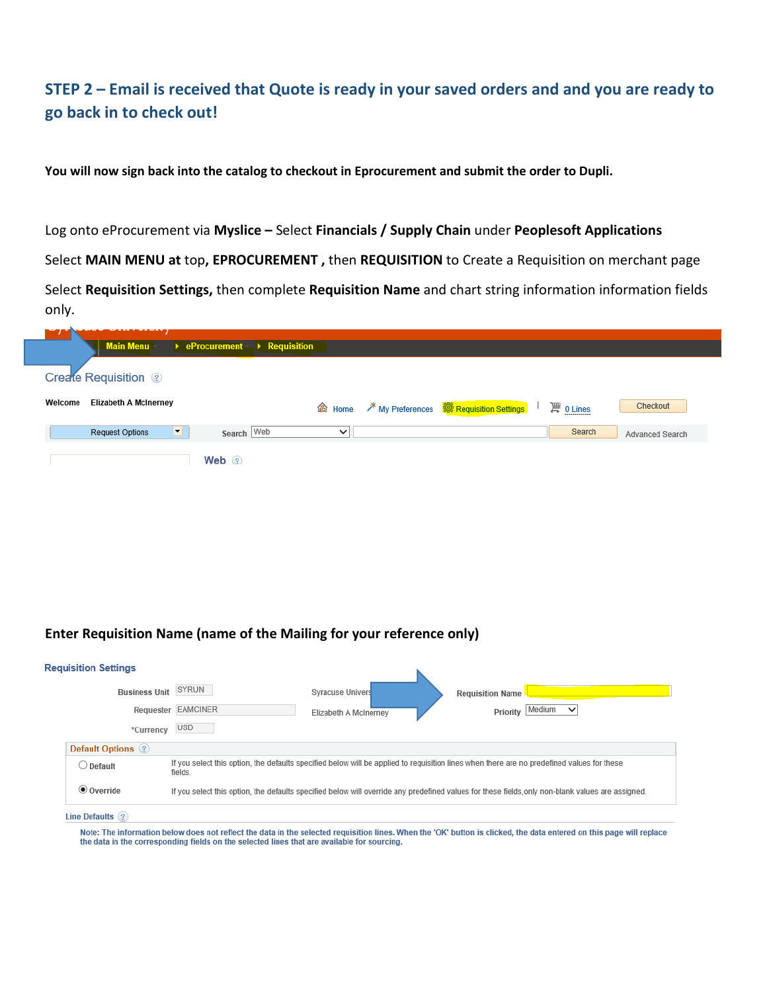# **STEP 2 – Email is received that Quote is ready in your saved orders and and you are ready to go back in to check out!**

**You will now sign back into the catalog to checkout in Eprocurement and submit the order to Dupli.**

Log onto eProcurement via **Myslice –** Select **Financials / Supply Chain** under **Peoplesoft Applications**

Select **MAIN MENU at** top**, EPROCUREMENT ,** then **REQUISITION** to Create a Requisition on merchant page

Select **Requisition Settings,** then complete **Requisition Name** and chart string information information fields only.

| <u> Andreas Andrew Marian a Station and Andrew Marian and Andrew Marian and Andrew Marian and Andrew Marian and A</u><br><b>Main Menu</b> | $\rightarrow$ eProcurement $\rightarrow$ Requisition |                   |                                                           |               |                 |
|-------------------------------------------------------------------------------------------------------------------------------------------|------------------------------------------------------|-------------------|-----------------------------------------------------------|---------------|-----------------|
| <b>Create Requisition</b> ?                                                                                                               |                                                      |                   |                                                           |               |                 |
| <b>Elizabeth A McInerney</b><br>Welcome                                                                                                   |                                                      | <sup>命</sup> Home | <sup>米</sup> My Preferences <b>瓣 Requisition Settings</b> | 潭 0 Lines<br> | Checkout        |
| ▬<br><b>Request Options</b>                                                                                                               | Search Web                                           | $\checkmark$      |                                                           | Search        | Advanced Search |
|                                                                                                                                           | Web $\odot$                                          |                   |                                                           |               |                 |

# **Enter Requisition Name (name of the Mailing for your reference only)**

| Requisition Settings |                                                                                                                                                       |                       |                         |             |  |
|----------------------|-------------------------------------------------------------------------------------------------------------------------------------------------------|-----------------------|-------------------------|-------------|--|
| <b>Business Unit</b> | SYRUN                                                                                                                                                 | Syracuse Univers      | <b>Requisition Name</b> |             |  |
|                      | Requester EAMCINER                                                                                                                                    | Elizabeth A McInerney | Priority Medium         | $\check{ }$ |  |
| *Currency            | <b>USD</b>                                                                                                                                            |                       |                         |             |  |
| Default Options (?)  |                                                                                                                                                       |                       |                         |             |  |
| $\bigcirc$ Default   | If you select this option, the defaults specified below will be applied to requisition lines when there are no predefined values for these<br>fields. |                       |                         |             |  |
| <b>◎</b> Override    | If you select this option, the defaults specified below will override any predefined values for these fields, only non-blank values are assigned.     |                       |                         |             |  |
| Line Defaults (?)    |                                                                                                                                                       |                       |                         |             |  |

Note: The information below does not reflect the data in the selected requisition lines. When the 'OK' button is clicked, the data entered on this page will replace the data in the corresponding fields on the selected lines that are available for sourcing.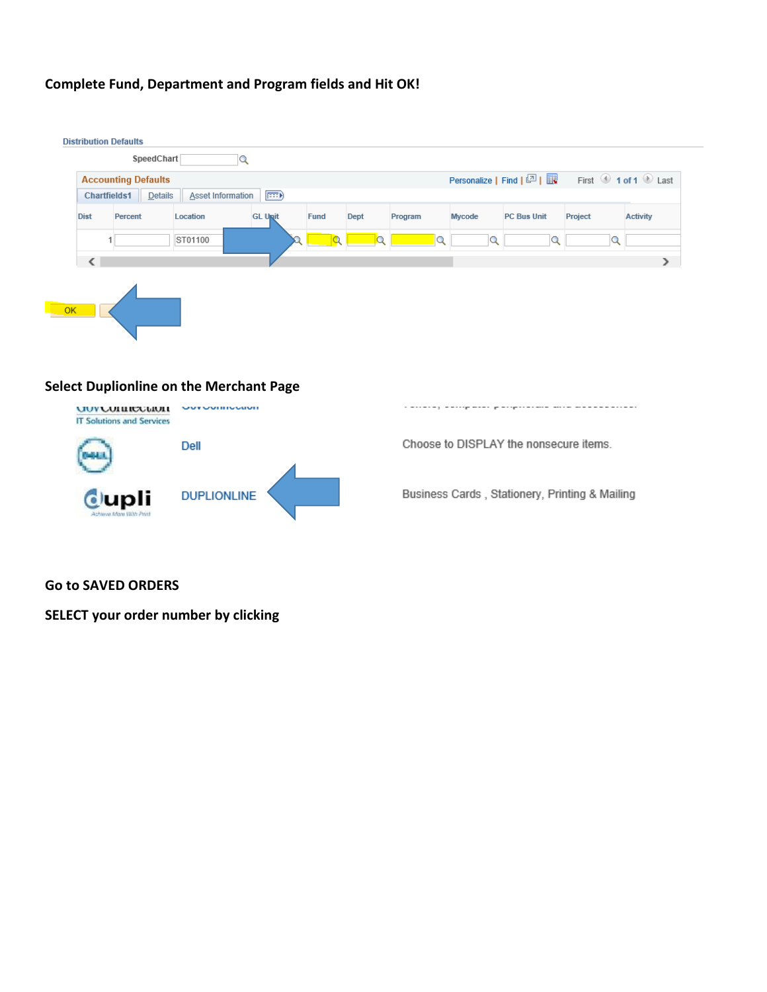# **Complete Fund, Department and Program fields and Hit OK!**

|      | <b>Accounting Defaults</b> | Chartfields1   Details   Asset Information | $\boxed{=}$    |             |      |         |               | Personalize   Find   2   Ex First 1 of 1 2 Last |         |                 |
|------|----------------------------|--------------------------------------------|----------------|-------------|------|---------|---------------|-------------------------------------------------|---------|-----------------|
| Dist | Percent                    | Location                                   | <b>GL Upit</b> | <b>Fund</b> | Dept | Program | <b>Mycode</b> | <b>PC Bus Unit</b>                              | Project | <b>Activity</b> |
|      |                            | ST01100                                    |                |             |      | m)      | Q             | O                                               | Q       |                 |
|      |                            |                                            |                |             |      |         |               |                                                 |         |                 |
|      |                            |                                            |                |             |      |         |               |                                                 |         |                 |

# **Select Duplionline on the Merchant Page**



Choose to DISPLAY the nonsecure items.

Business Cards, Stationery, Printing & Mailing

### **Go to SAVED ORDERS**

**SELECT your order number by clicking**